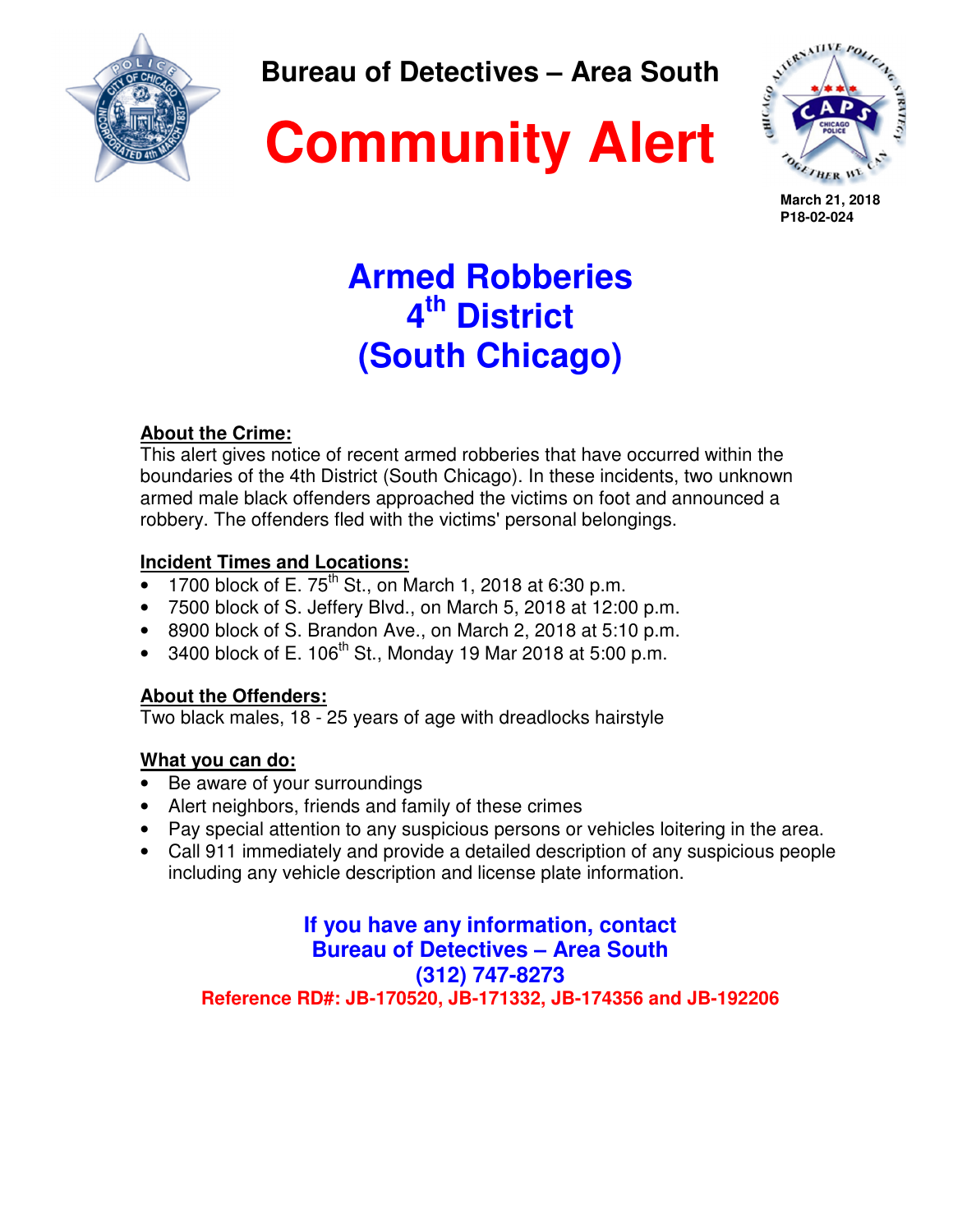

**Bureau of Detectives – Area South** 





**March 21, 2018 P18-02-024**

# **Armed Robberies 4 th District (South Chicago)**

## **About the Crime:**

This alert gives notice of recent armed robberies that have occurred within the boundaries of the 4th District (South Chicago). In these incidents, two unknown armed male black offenders approached the victims on foot and announced a robbery. The offenders fled with the victims' personal belongings.

#### **Incident Times and Locations:**

- 1700 block of E. 75<sup>th</sup> St., on March 1, 2018 at 6:30 p.m.
- 7500 block of S. Jeffery Blvd., on March 5, 2018 at 12:00 p.m.
- 8900 block of S. Brandon Ave., on March 2, 2018 at 5:10 p.m.
- 3400 block of E.  $106^{th}$  St., Monday 19 Mar 2018 at 5:00 p.m.

### **About the Offenders:**

Two black males, 18 - 25 years of age with dreadlocks hairstyle

## **What you can do:**

- Be aware of your surroundings
- Alert neighbors, friends and family of these crimes
- Pay special attention to any suspicious persons or vehicles loitering in the area.
- Call 911 immediately and provide a detailed description of any suspicious people including any vehicle description and license plate information.

**If you have any information, contact Bureau of Detectives – Area South (312) 747-8273 Reference RD#: JB-170520, JB-171332, JB-174356 and JB-192206**